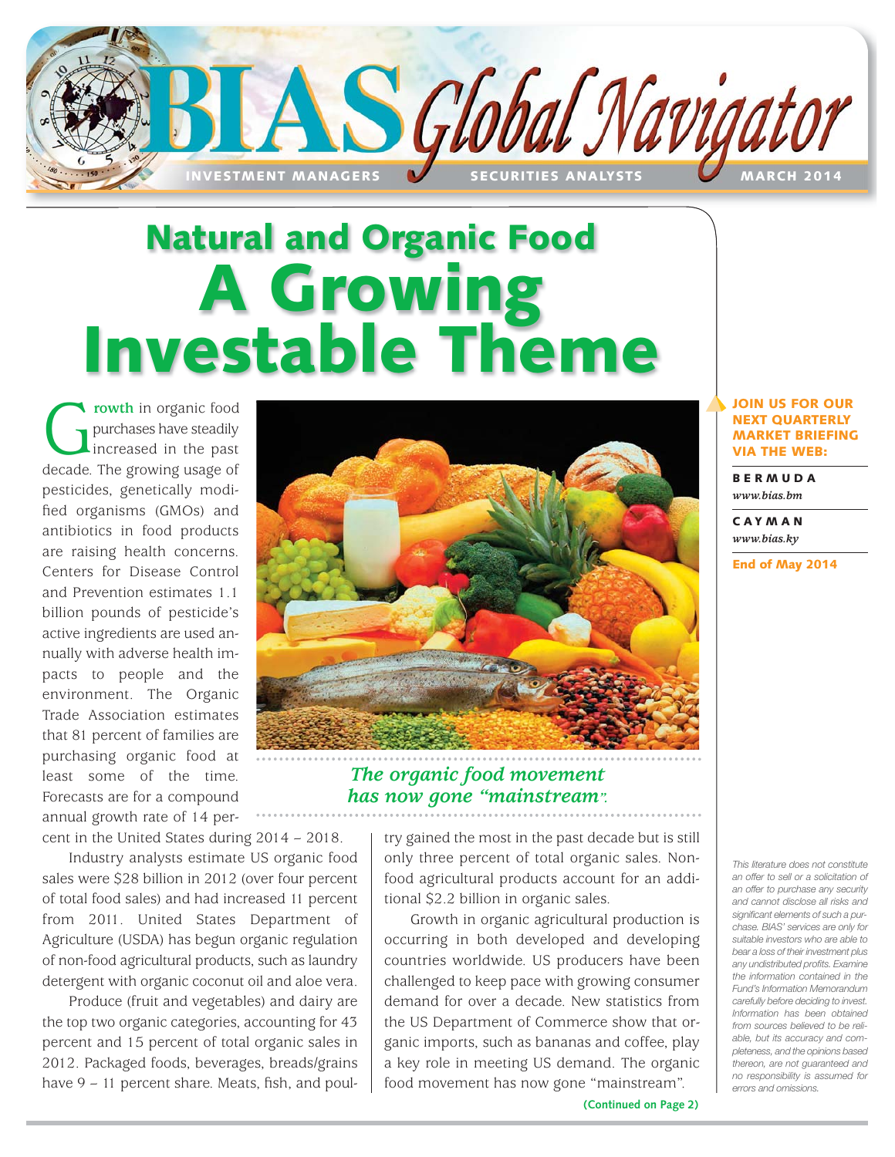

# **Natural and Organic Food A Growing Investable Theme**

**C**<br>purchases have steadily<br>increased in the past<br>decade. The growing usage of purchases have steadily increased in the past pesticides, genetically modified organisms (GMOs) and antibiotics in food products are raising health concerns. Centers for Disease Control and Prevention estimates 1.1 billion pounds of pesticide's active ingredients are used annually with adverse health impacts to people and the environment. The Organic Trade Association estimates that 81 percent of families are purchasing organic food at least some of the time. Forecasts are for a compound annual growth rate of 14 per-



*has now gone "mainstream".*

## **JOIN US FOR OUR NEXT QUARTERLY MARKET BRIEFING VIA THE WEB:**

**BERMUDA** *www.bias.bm*

**CAYMAN** *www.bias.ky*

**End of May 2014**

cent in the United States during 2014 – 2018.

Industry analysts estimate US organic food sales were \$28 billion in 2012 (over four percent of total food sales) and had increased 11 percent from 2011. United States Department of Agriculture (USDA) has begun organic regulation of non-food agricultural products, such as laundry detergent with organic coconut oil and aloe vera.

Produce (fruit and vegetables) and dairy are the top two organic categories, accounting for 43 percent and 15 percent of total organic sales in 2012. Packaged foods, beverages, breads/grains have 9 – 11 percent share. Meats, fish, and poultry gained the most in the past decade but is still only three percent of total organic sales. Nonfood agricultural products account for an additional \$2.2 billion in organic sales.

Growth in organic agricultural production is occurring in both developed and developing countries worldwide. US producers have been challenged to keep pace with growing consumer demand for over a decade. New statistics from the US Department of Commerce show that organic imports, such as bananas and coffee, play a key role in meeting US demand. The organic food movement has now gone "mainstream".

*This literature does not constitute an offer to sell or a solicitation of an offer to purchase any security and cannot disclose all risks and significant elements of such a purchase. BIAS' services are only for suitable investors who are able to bear a loss of their investment plus any undistributed profits. Examine the information contained in the Fund's Information Memorandum carefully before deciding to invest. Information has been obtained from sources believed to be reliable, but its accuracy and completeness, and the opinions based thereon, are not guaranteed and no responsibility is assumed for errors and omissions.*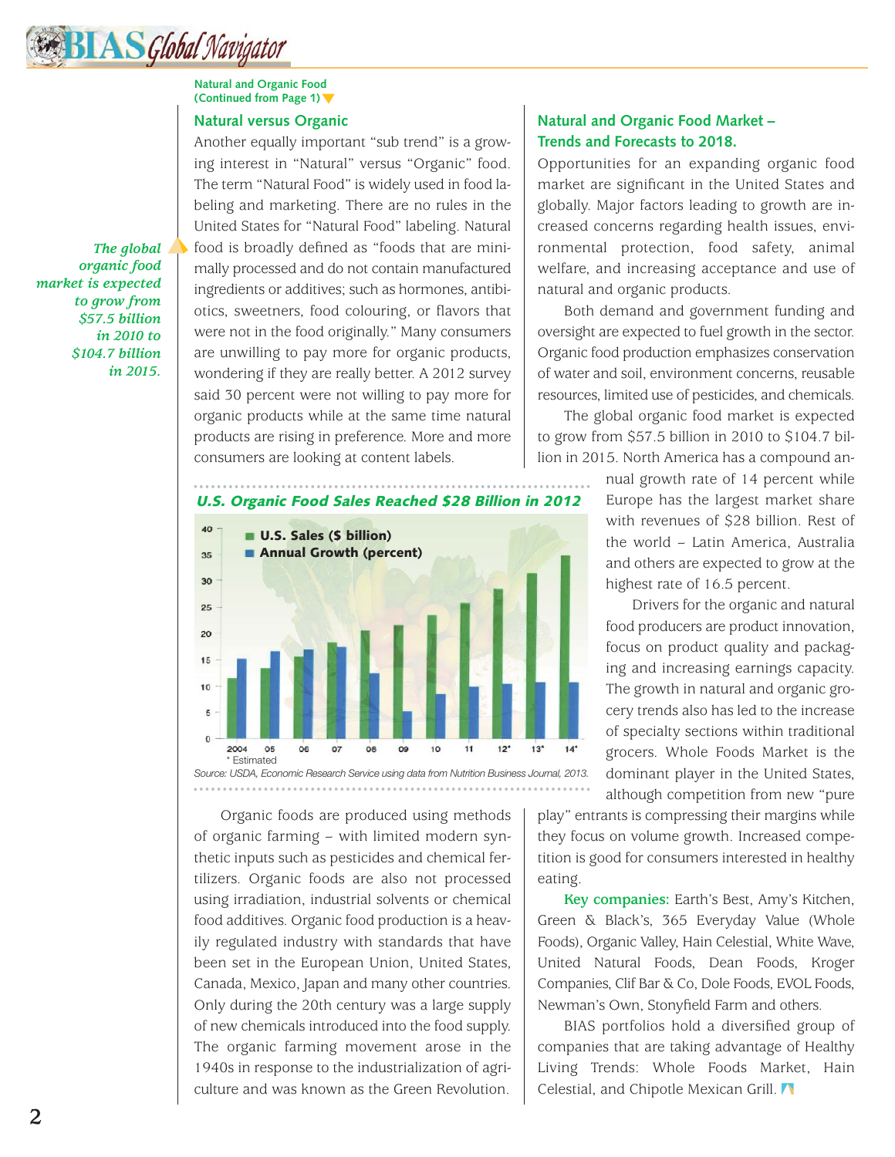## **Natural and Organic Food (Continued from Page 1)**

## **Natural versus Organic**

*The global organic food market is expected to grow from \$57.5 billion in 2010 to \$104.7 billion in 2015.*

Another equally important "sub trend" is a growing interest in "Natural" versus "Organic" food. The term "Natural Food" is widely used in food labeling and marketing. There are no rules in the United States for "Natural Food" labeling. Natural food is broadly defined as "foods that are minimally processed and do not contain manufactured ingredients or additives; such as hormones, antibiotics, sweetners, food colouring, or flavors that were not in the food originally." Many consumers are unwilling to pay more for organic products, wondering if they are really better. A 2012 survey said 30 percent were not willing to pay more for organic products while at the same time natural products are rising in preference. More and more consumers are looking at content labels.



Organic foods are produced using methods of organic farming – with limited modern synthetic inputs such as pesticides and chemical fertilizers. Organic foods are also not processed using irradiation, industrial solvents or chemical food additives. Organic food production is a heavily regulated industry with standards that have been set in the European Union, United States, Canada, Mexico, Japan and many other countries. Only during the 20th century was a large supply of new chemicals introduced into the food supply. The organic farming movement arose in the 1940s in response to the industrialization of agriculture and was known as the Green Revolution.

## **Natural and Organic Food Market – Trends and Forecasts to 2018.**

Opportunities for an expanding organic food market are significant in the United States and globally. Major factors leading to growth are increased concerns regarding health issues, environmental protection, food safety, animal welfare, and increasing acceptance and use of natural and organic products.

Both demand and government funding and oversight are expected to fuel growth in the sector. Organic food production emphasizes conservation of water and soil, environment concerns, reusable resources, limited use of pesticides, and chemicals.

The global organic food market is expected to grow from \$57.5 billion in 2010 to \$104.7 billion in 2015. North America has a compound an-

> nual growth rate of 14 percent while Europe has the largest market share with revenues of \$28 billion. Rest of the world – Latin America, Australia and others are expected to grow at the highest rate of 16.5 percent.

> Drivers for the organic and natural food producers are product innovation, focus on product quality and packaging and increasing earnings capacity. The growth in natural and organic grocery trends also has led to the increase of specialty sections within traditional grocers. Whole Foods Market is the dominant player in the United States, although competition from new "pure

play" entrants is compressing their margins while they focus on volume growth. Increased competition is good for consumers interested in healthy eating.

**Key companies:** Earth's Best, Amy's Kitchen, Green & Black's, 365 Everyday Value (Whole Foods), Organic Valley, Hain Celestial, White Wave, United Natural Foods, Dean Foods, Kroger Companies, Clif Bar & Co, Dole Foods, EVOL Foods, Newman's Own, Stonyfield Farm and others.

BIAS portfolios hold a diversified group of companies that are taking advantage of Healthy Living Trends: Whole Foods Market, Hain Celestial, and Chipotle Mexican Grill.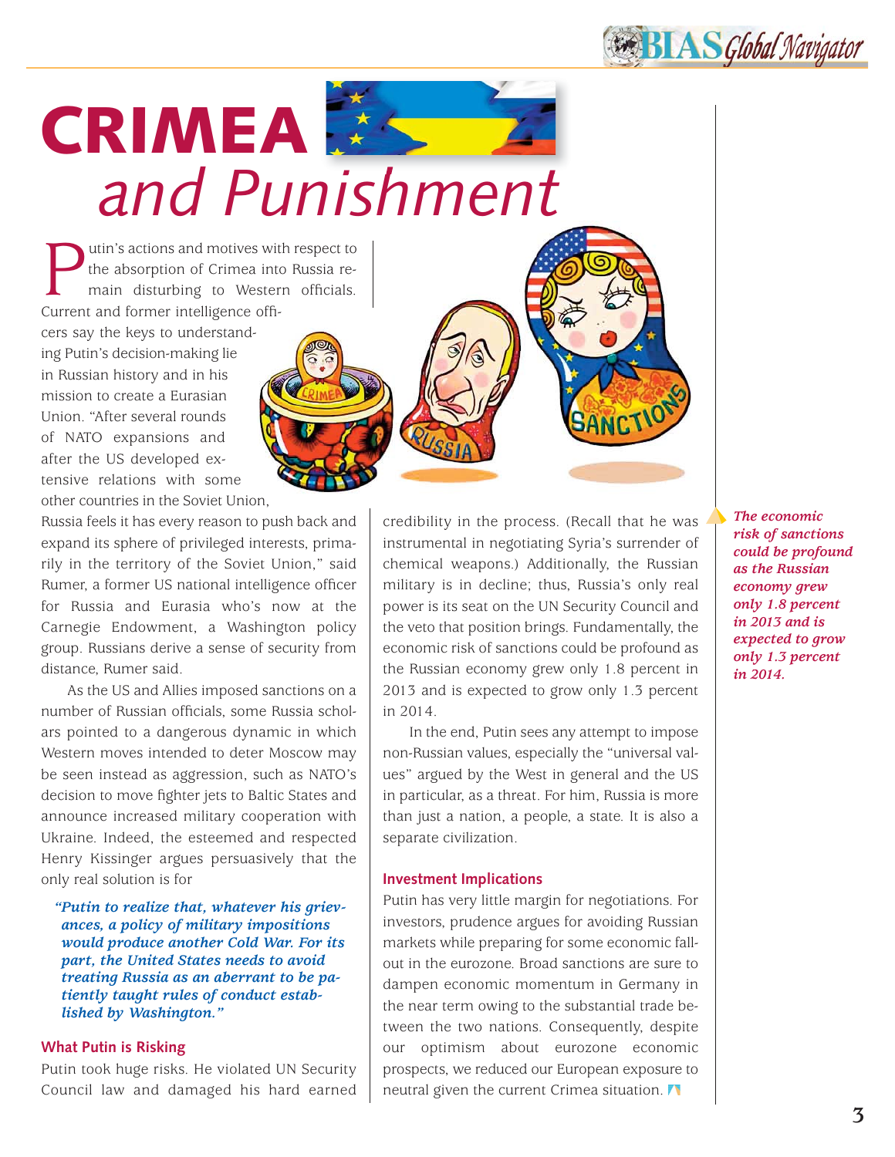**BIAS** Global Navigator

## **CRIMEA** *and Punishment*

**Putin's actions and motives with respect to**<br>the absorption of Crimea into Russia re-<br>main disturbing to Western officials.<br>Current and former intelligence offithe absorption of Crimea into Russia remain disturbing to Western officials. Current and former intelligence offi-

cers say the keys to understanding Putin's decision-making lie in Russian history and in his mission to create a Eurasian Union. "After several rounds of NATO expansions and after the US developed extensive relations with some other countries in the Soviet Union,

Russia feels it has every reason to push back and expand its sphere of privileged interests, primarily in the territory of the Soviet Union," said Rumer, a former US national intelligence officer for Russia and Eurasia who's now at the Carnegie Endowment, a Washington policy group. Russians derive a sense of security from distance, Rumer said.

As the US and Allies imposed sanctions on a number of Russian officials, some Russia scholars pointed to a dangerous dynamic in which Western moves intended to deter Moscow may be seen instead as aggression, such as NATO's decision to move fighter jets to Baltic States and announce increased military cooperation with Ukraine. Indeed, the esteemed and respected Henry Kissinger argues persuasively that the only real solution is for

*"Putin to realize that, whatever his grievances, a policy of military impositions would produce another Cold War. For its part, the United States needs to avoid treating Russia as an aberrant to be patiently taught rules of conduct established by Washington."*

## **What Putin is Risking**

Putin took huge risks. He violated UN Security Council law and damaged his hard earned credibility in the process. (Recall that he was instrumental in negotiating Syria's surrender of chemical weapons.) Additionally, the Russian military is in decline; thus, Russia's only real power is its seat on the UN Security Council and the veto that position brings. Fundamentally, the economic risk of sanctions could be profound as the Russian economy grew only 1.8 percent in 2013 and is expected to grow only 1.3 percent in 2014.

In the end, Putin sees any attempt to impose non-Russian values, especially the "universal values" argued by the West in general and the US in particular, as a threat. For him, Russia is more than just a nation, a people, a state. It is also a separate civilization.

## **Investment Implications**

Putin has very little margin for negotiations. For investors, prudence argues for avoiding Russian markets while preparing for some economic fallout in the eurozone. Broad sanctions are sure to dampen economic momentum in Germany in the near term owing to the substantial trade between the two nations. Consequently, despite our optimism about eurozone economic prospects, we reduced our European exposure to neutral given the current Crimea situation.

*The economic risk of sanctions could be profound as the Russian economy grew only 1.8 percent in 2013 and is expected to grow only 1.3 percent in 2014.*